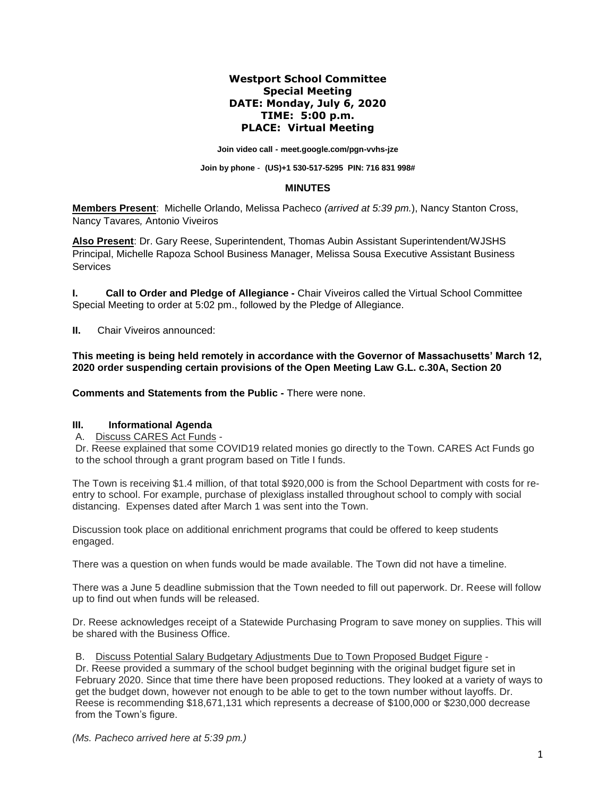# **Westport School Committee Special Meeting DATE: Monday, July 6, 2020 TIME: 5:00 p.m. PLACE: Virtual Meeting**

**Join video call - [meet.google.com/pgn-vvhs-jze](https://meet.google.com/pgn-vvhs-jze?hs=122&authuser=2)**

# **Join by phone - (US[\)+1 530-517-5295](tel:%E2%80%AA+1%20530-517-5295%E2%80%AC) PIN: 716 831 998#**

#### **MINUTES**

**Members Present**: Michelle Orlando, Melissa Pacheco *(arrived at 5:39 pm.*), Nancy Stanton Cross, Nancy Tavares*,* Antonio Viveiros

**Also Present**: Dr. Gary Reese, Superintendent, Thomas Aubin Assistant Superintendent/WJSHS Principal, Michelle Rapoza School Business Manager, Melissa Sousa Executive Assistant Business **Services** 

**I. Call to Order and Pledge of Allegiance -** Chair Viveiros called the Virtual School Committee Special Meeting to order at 5:02 pm., followed by the Pledge of Allegiance.

**II.** Chair Viveiros announced:

**This meeting is being held remotely in accordance with the Governor of Massachusetts' March 12, 2020 order suspending certain provisions of the Open Meeting Law G.L. c.30A, Section 20**

**Comments and Statements from the Public -** There were none.

### **III. Informational Agenda**

A. Discuss CARES Act Funds -

Dr. Reese explained that some COVID19 related monies go directly to the Town. CARES Act Funds go to the school through a grant program based on Title I funds.

The Town is receiving \$1.4 million, of that total \$920,000 is from the School Department with costs for reentry to school. For example, purchase of plexiglass installed throughout school to comply with social distancing. Expenses dated after March 1 was sent into the Town.

Discussion took place on additional enrichment programs that could be offered to keep students engaged.

There was a question on when funds would be made available. The Town did not have a timeline.

There was a June 5 deadline submission that the Town needed to fill out paperwork. Dr. Reese will follow up to find out when funds will be released.

Dr. Reese acknowledges receipt of a Statewide Purchasing Program to save money on supplies. This will be shared with the Business Office.

B. Discuss Potential Salary Budgetary Adjustments Due to Town Proposed Budget Figure -

Dr. Reese provided a summary of the school budget beginning with the original budget figure set in February 2020. Since that time there have been proposed reductions. They looked at a variety of ways to get the budget down, however not enough to be able to get to the town number without layoffs. Dr. Reese is recommending \$18,671,131 which represents a decrease of \$100,000 or \$230,000 decrease from the Town's figure.

*(Ms. Pacheco arrived here at 5:39 pm.)*